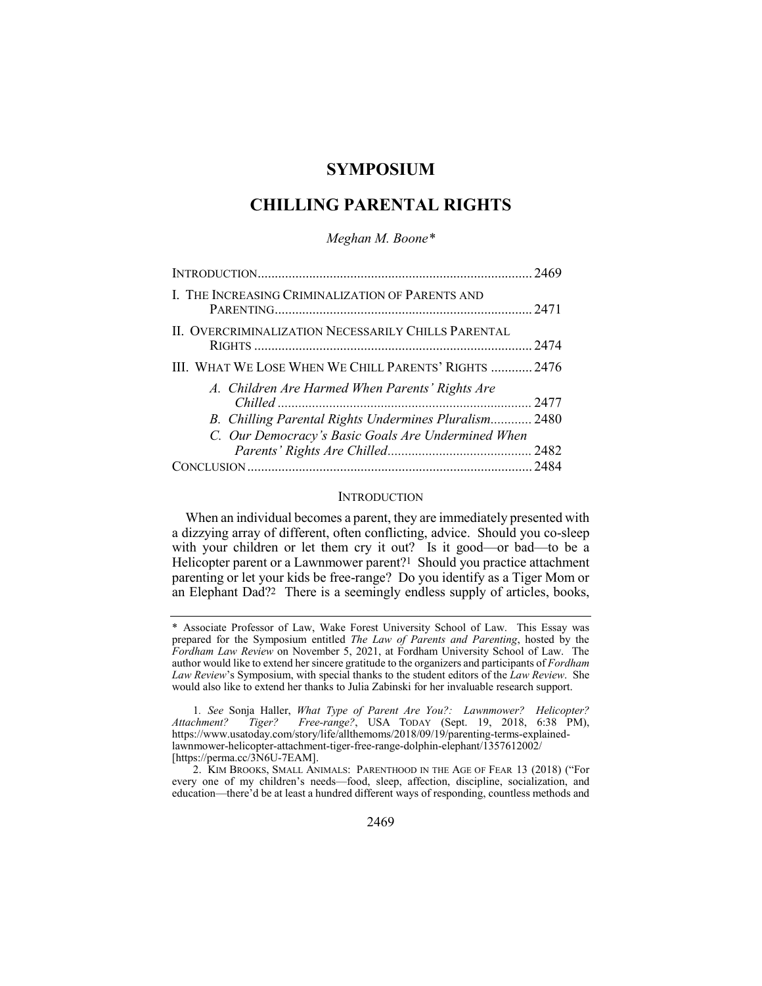# **SYMPOSIUM**

# **CHILLING PARENTAL RIGHTS**

*Meghan M. Boone\**

| I. THE INCREASING CRIMINALIZATION OF PARENTS AND      |  |
|-------------------------------------------------------|--|
| II. OVERCRIMINALIZATION NECESSARILY CHILLS PARENTAL   |  |
| III. WHAT WE LOSE WHEN WE CHILL PARENTS' RIGHTS  2476 |  |
| A. Children Are Harmed When Parents' Rights Are       |  |
| B. Chilling Parental Rights Undermines Pluralism 2480 |  |
| C. Our Democracy's Basic Goals Are Undermined When    |  |
|                                                       |  |
|                                                       |  |

### **INTRODUCTION**

When an individual becomes a parent, they are immediately presented with a dizzying array of different, often conflicting, advice. Should you co-sleep with your children or let them cry it out? Is it good—or bad—to be a Helicopter parent or a Lawnmower parent?1 Should you practice attachment parenting or let your kids be free-range? Do you identify as a Tiger Mom or an Elephant Dad?2 There is a seemingly endless supply of articles, books,

<sup>\*</sup> Associate Professor of Law, Wake Forest University School of Law. This Essay was prepared for the Symposium entitled *The Law of Parents and Parenting*, hosted by the *Fordham Law Review* on November 5, 2021, at Fordham University School of Law. The author would like to extend her sincere gratitude to the organizers and participants of *Fordham Law Review*'s Symposium, with special thanks to the student editors of the *Law Review*. She would also like to extend her thanks to Julia Zabinski for her invaluable research support.

<sup>1</sup>*. See* Sonja Haller, *What Type of Parent Are You?: Lawnmower? Helicopter? Attachment? Tiger? Free-range?*, USA TODAY (Sept. 19, 2018, 6:38 PM), https://www.usatoday.com/story/life/allthemoms/2018/09/19/parenting-terms-explainedlawnmower-helicopter-attachment-tiger-free-range-dolphin-elephant/1357612002/ [https://perma.cc/3N6U-7EAM].

<sup>2.</sup> KIM BROOKS, SMALL ANIMALS: PARENTHOOD IN THE AGE OF FEAR 13 (2018) ("For every one of my children's needs—food, sleep, affection, discipline, socialization, and education—there'd be at least a hundred different ways of responding, countless methods and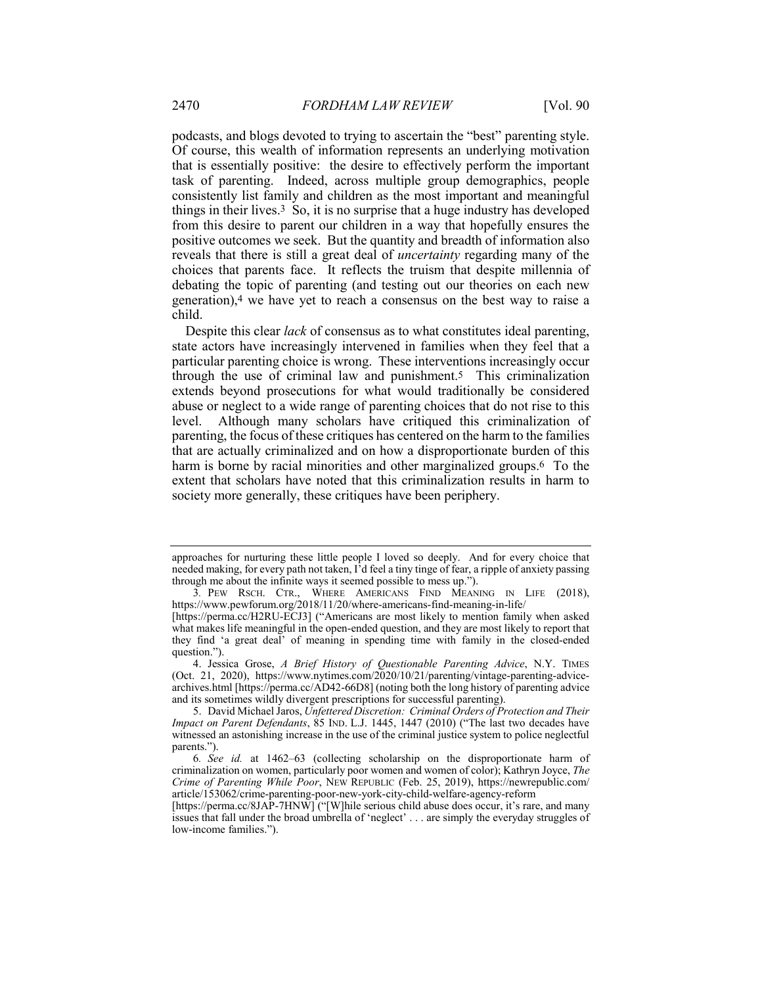podcasts, and blogs devoted to trying to ascertain the "best" parenting style. Of course, this wealth of information represents an underlying motivation that is essentially positive: the desire to effectively perform the important task of parenting. Indeed, across multiple group demographics, people consistently list family and children as the most important and meaningful things in their lives.3 So, it is no surprise that a huge industry has developed from this desire to parent our children in a way that hopefully ensures the positive outcomes we seek. But the quantity and breadth of information also reveals that there is still a great deal of *uncertainty* regarding many of the choices that parents face. It reflects the truism that despite millennia of debating the topic of parenting (and testing out our theories on each new generation),4 we have yet to reach a consensus on the best way to raise a child.

Despite this clear *lack* of consensus as to what constitutes ideal parenting, state actors have increasingly intervened in families when they feel that a particular parenting choice is wrong. These interventions increasingly occur through the use of criminal law and punishment.5 This criminalization extends beyond prosecutions for what would traditionally be considered abuse or neglect to a wide range of parenting choices that do not rise to this level. Although many scholars have critiqued this criminalization of parenting, the focus of these critiques has centered on the harm to the families that are actually criminalized and on how a disproportionate burden of this harm is borne by racial minorities and other marginalized groups.<sup>6</sup> To the extent that scholars have noted that this criminalization results in harm to society more generally, these critiques have been periphery.

approaches for nurturing these little people I loved so deeply. And for every choice that needed making, for every path not taken, I'd feel a tiny tinge of fear, a ripple of anxiety passing through me about the infinite ways it seemed possible to mess up.").

<sup>3</sup>*.* PEW RSCH. CTR., WHERE AMERICANS FIND MEANING IN LIFE (2018), https://www.pewforum.org/2018/11/20/where-americans-find-meaning-in-life/

<sup>[</sup>https://perma.cc/H2RU-ECJ3] ("Americans are most likely to mention family when asked what makes life meaningful in the open-ended question, and they are most likely to report that they find 'a great deal' of meaning in spending time with family in the closed-ended question.").

<sup>4.</sup> Jessica Grose, *A Brief History of Questionable Parenting Advice*, N.Y. TIMES (Oct. 21, 2020), https://www.nytimes.com/2020/10/21/parenting/vintage-parenting-advicearchives.html [https://perma.cc/AD42-66D8] (noting both the long history of parenting advice and its sometimes wildly divergent prescriptions for successful parenting).

<sup>5.</sup> David Michael Jaros, *Unfettered Discretion: Criminal Orders of Protection and Their Impact on Parent Defendants*, 85 IND. L.J. 1445, 1447 (2010) ("The last two decades have witnessed an astonishing increase in the use of the criminal justice system to police neglectful parents.").

<sup>6</sup>*. See id.* at 1462–63 (collecting scholarship on the disproportionate harm of criminalization on women, particularly poor women and women of color); Kathryn Joyce, *The Crime of Parenting While Poor*, NEW REPUBLIC (Feb. 25, 2019), https://newrepublic.com/ article/153062/crime-parenting-poor-new-york-city-child-welfare-agency-reform

<sup>[</sup>https://perma.cc/8JAP-7HNW] ("[W]hile serious child abuse does occur, it's rare, and many issues that fall under the broad umbrella of 'neglect' . . . are simply the everyday struggles of low-income families.").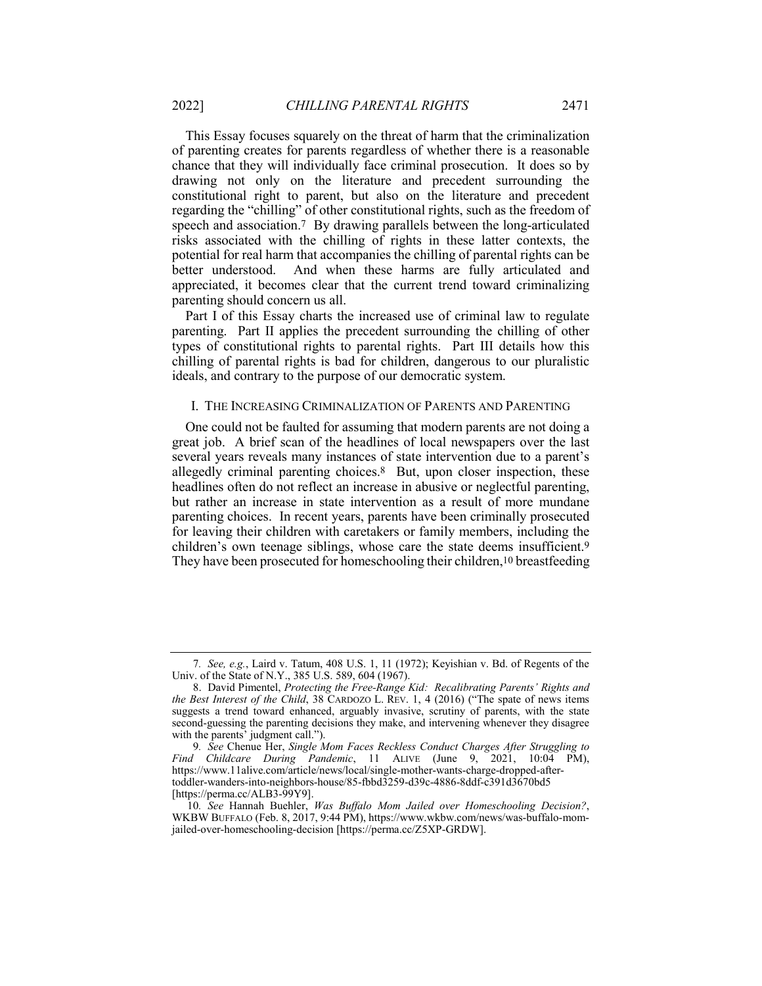This Essay focuses squarely on the threat of harm that the criminalization of parenting creates for parents regardless of whether there is a reasonable chance that they will individually face criminal prosecution. It does so by drawing not only on the literature and precedent surrounding the constitutional right to parent, but also on the literature and precedent regarding the "chilling" of other constitutional rights, such as the freedom of speech and association.7 By drawing parallels between the long-articulated risks associated with the chilling of rights in these latter contexts, the potential for real harm that accompanies the chilling of parental rights can be better understood. And when these harms are fully articulated and appreciated, it becomes clear that the current trend toward criminalizing parenting should concern us all.

Part I of this Essay charts the increased use of criminal law to regulate parenting. Part II applies the precedent surrounding the chilling of other types of constitutional rights to parental rights. Part III details how this chilling of parental rights is bad for children, dangerous to our pluralistic ideals, and contrary to the purpose of our democratic system.

#### I. THE INCREASING CRIMINALIZATION OF PARENTS AND PARENTING

One could not be faulted for assuming that modern parents are not doing a great job. A brief scan of the headlines of local newspapers over the last several years reveals many instances of state intervention due to a parent's allegedly criminal parenting choices.8 But, upon closer inspection, these headlines often do not reflect an increase in abusive or neglectful parenting, but rather an increase in state intervention as a result of more mundane parenting choices. In recent years, parents have been criminally prosecuted for leaving their children with caretakers or family members, including the children's own teenage siblings, whose care the state deems insufficient.9 They have been prosecuted for homeschooling their children,<sup>10</sup> breastfeeding

<sup>7</sup>*. See, e.g.*, Laird v. Tatum, 408 U.S. 1, 11 (1972); Keyishian v. Bd. of Regents of the Univ. of the State of N.Y., 385 U.S. 589, 604 (1967).

<sup>8.</sup> David Pimentel, *Protecting the Free-Range Kid: Recalibrating Parents' Rights and the Best Interest of the Child*, 38 CARDOZO L. REV. 1, 4 (2016) ("The spate of news items suggests a trend toward enhanced, arguably invasive, scrutiny of parents, with the state second-guessing the parenting decisions they make, and intervening whenever they disagree with the parents' judgment call.").

<sup>9</sup>*. See* Chenue Her, *Single Mom Faces Reckless Conduct Charges After Struggling to Find Childcare During Pandemic*, 11 ALIVE (June 9, 2021, 10:04 PM), https://www.11alive.com/article/news/local/single-mother-wants-charge-dropped-aftertoddler-wanders-into-neighbors-house/85-fbbd3259-d39c-4886-8ddf-c391d3670bd5 [https://perma.cc/ALB3-99Y9].

<sup>10</sup>*. See* Hannah Buehler, *Was Buffalo Mom Jailed over Homeschooling Decision?*, WKBW BUFFALO (Feb. 8, 2017, 9:44 PM), https://www.wkbw.com/news/was-buffalo-momjailed-over-homeschooling-decision [https://perma.cc/Z5XP-GRDW].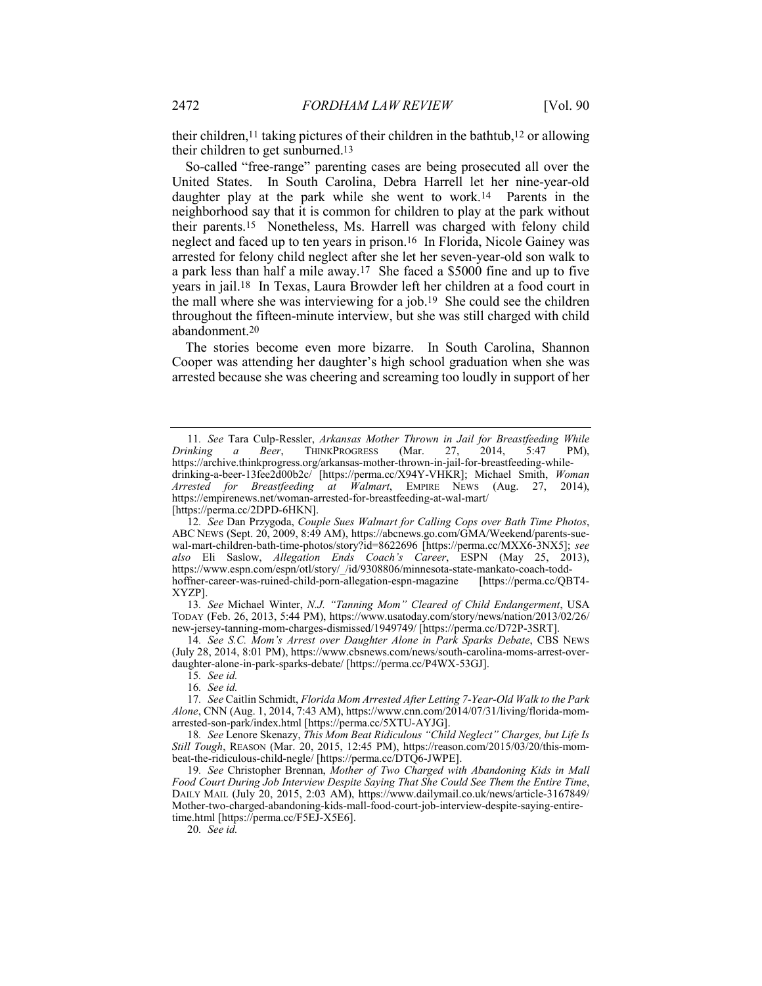their children,11 taking pictures of their children in the bathtub,12 or allowing their children to get sunburned.13

So-called "free-range" parenting cases are being prosecuted all over the United States. In South Carolina, Debra Harrell let her nine-year-old daughter play at the park while she went to work.14 Parents in the neighborhood say that it is common for children to play at the park without their parents.15 Nonetheless, Ms. Harrell was charged with felony child neglect and faced up to ten years in prison.16 In Florida, Nicole Gainey was arrested for felony child neglect after she let her seven-year-old son walk to a park less than half a mile away.17 She faced a \$5000 fine and up to five years in jail.18 In Texas, Laura Browder left her children at a food court in the mall where she was interviewing for a job.19 She could see the children throughout the fifteen-minute interview, but she was still charged with child abandonment.20

The stories become even more bizarre. In South Carolina, Shannon Cooper was attending her daughter's high school graduation when she was arrested because she was cheering and screaming too loudly in support of her

13*. See* Michael Winter, *N.J. "Tanning Mom" Cleared of Child Endangerment*, USA TODAY (Feb. 26, 2013, 5:44 PM), https://www.usatoday.com/story/news/nation/2013/02/26/ new-jersey-tanning-mom-charges-dismissed/1949749/ [https://perma.cc/D72P-3SRT].

14*. See S.C. Mom's Arrest over Daughter Alone in Park Sparks Debate*, CBS NEWS (July 28, 2014, 8:01 PM), https://www.cbsnews.com/news/south-carolina-moms-arrest-overdaughter-alone-in-park-sparks-debate/ [https://perma.cc/P4WX-53GJ].

15*. See id.*

16*. See id.*

17*. See* Caitlin Schmidt, *Florida Mom Arrested After Letting 7-Year-Old Walk to the Park Alone*, CNN (Aug. 1, 2014, 7:43 AM), https://www.cnn.com/2014/07/31/living/florida-momarrested-son-park/index.html [https://perma.cc/5XTU-AYJG].

18*. See* Lenore Skenazy, *This Mom Beat Ridiculous "Child Neglect" Charges, but Life Is Still Tough*, REASON (Mar. 20, 2015, 12:45 PM), https://reason.com/2015/03/20/this-mombeat-the-ridiculous-child-negle/ [https://perma.cc/DTQ6-JWPE].

19*. See* Christopher Brennan, *Mother of Two Charged with Abandoning Kids in Mall Food Court During Job Interview Despite Saying That She Could See Them the Entire Time*, DAILY MAIL (July 20, 2015, 2:03 AM), https://www.dailymail.co.uk/news/article-3167849/ Mother-two-charged-abandoning-kids-mall-food-court-job-interview-despite-saying-entiretime.html [https://perma.cc/F5EJ-X5E6].

20*. See id.*

<sup>11</sup>*. See* Tara Culp-Ressler, *Arkansas Mother Thrown in Jail for Breastfeeding While Drinking a Beer*, THINKPROGRESS (Mar. 27, 2014, 5:47 PM), https://archive.thinkprogress.org/arkansas-mother-thrown-in-jail-for-breastfeeding-whiledrinking-a-beer-13fee2d00b2c/ [https://perma.cc/X94Y-VHKR]; Michael Smith, *Woman Arrested for Breastfeeding at Walmart*, EMPIRE NEWS (Aug. 27, 2014), https://empirenews.net/woman-arrested-for-breastfeeding-at-wal-mart/ [https://perma.cc/2DPD-6HKN].

<sup>12</sup>*. See* Dan Przygoda, *Couple Sues Walmart for Calling Cops over Bath Time Photos*, ABC NEWS (Sept. 20, 2009, 8:49 AM), https://abcnews.go.com/GMA/Weekend/parents-suewal-mart-children-bath-time-photos/story?id=8622696 [https://perma.cc/MXX6-3NX5]; *see also* Eli Saslow, *Allegation Ends Coach's Career*, ESPN (May 25, 2013), https://www.espn.com/espn/otl/story/\_/id/9308806/minnesota-state-mankato-coach-todd-<br>hoffner-career-was-ruined-child-porn-allegation-espn-magazine [https://perma.cc/QBT4hoffner-career-was-ruined-child-porn-allegation-espn-magazine XYZP].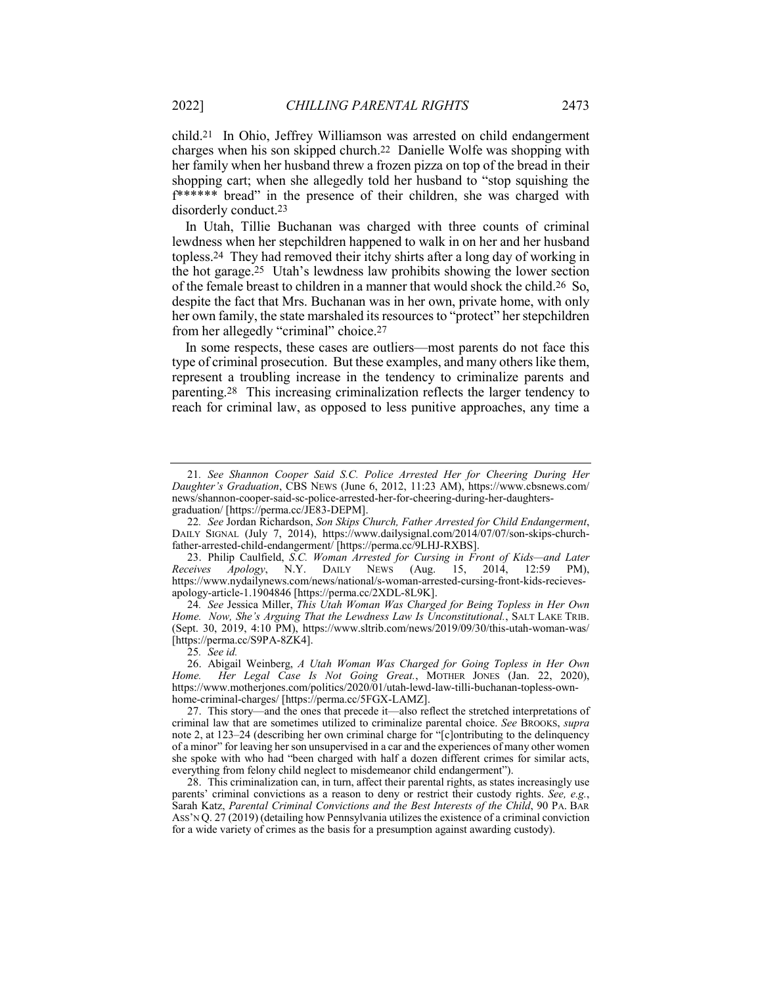child.21 In Ohio, Jeffrey Williamson was arrested on child endangerment charges when his son skipped church.22 Danielle Wolfe was shopping with her family when her husband threw a frozen pizza on top of the bread in their shopping cart; when she allegedly told her husband to "stop squishing the f\*\*\*\*\*\* bread" in the presence of their children, she was charged with disorderly conduct.23

In Utah, Tillie Buchanan was charged with three counts of criminal lewdness when her stepchildren happened to walk in on her and her husband topless.24 They had removed their itchy shirts after a long day of working in the hot garage.25 Utah's lewdness law prohibits showing the lower section of the female breast to children in a manner that would shock the child.26 So, despite the fact that Mrs. Buchanan was in her own, private home, with only her own family, the state marshaled its resources to "protect" her stepchildren from her allegedly "criminal" choice.27

In some respects, these cases are outliers—most parents do not face this type of criminal prosecution. But these examples, and many others like them, represent a troubling increase in the tendency to criminalize parents and parenting.28 This increasing criminalization reflects the larger tendency to reach for criminal law, as opposed to less punitive approaches, any time a

<sup>21</sup>*. See Shannon Cooper Said S.C. Police Arrested Her for Cheering During Her Daughter's Graduation*, CBS NEWS (June 6, 2012, 11:23 AM), https://www.cbsnews.com/ news/shannon-cooper-said-sc-police-arrested-her-for-cheering-during-her-daughtersgraduation/ [https://perma.cc/JE83-DEPM].

<sup>22</sup>*. See* Jordan Richardson, *Son Skips Church, Father Arrested for Child Endangerment*, DAILY SIGNAL (July 7, 2014), https://www.dailysignal.com/2014/07/07/son-skips-churchfather-arrested-child-endangerment/ [https://perma.cc/9LHJ-RXBS].

<sup>23.</sup> Philip Caulfield, *S.C. Woman Arrested for Cursing in Front of Kids—and Later Receives Apology*, N.Y. DAILY NEWS (Aug. 15, 2014, 12:59 PM), https://www.nydailynews.com/news/national/s-woman-arrested-cursing-front-kids-recievesapology-article-1.1904846 [https://perma.cc/2XDL-8L9K].

<sup>24</sup>*. See* Jessica Miller, *This Utah Woman Was Charged for Being Topless in Her Own Home. Now, She's Arguing That the Lewdness Law Is Unconstitutional.*, SALT LAKE TRIB. (Sept. 30, 2019, 4:10 PM), https://www.sltrib.com/news/2019/09/30/this-utah-woman-was/ [https://perma.cc/S9PA-8ZK4].

<sup>25</sup>*. See id.*

<sup>26.</sup> Abigail Weinberg, *A Utah Woman Was Charged for Going Topless in Her Own Home. Her Legal Case Is Not Going Great.*, MOTHER JONES (Jan. 22, 2020), https://www.motherjones.com/politics/2020/01/utah-lewd-law-tilli-buchanan-topless-ownhome-criminal-charges/ [https://perma.cc/5FGX-LAMZ].

<sup>27.</sup> This story—and the ones that precede it—also reflect the stretched interpretations of criminal law that are sometimes utilized to criminalize parental choice. *See* BROOKS, *supra* note 2, at 123–24 (describing her own criminal charge for "[c]ontributing to the delinquency of a minor" for leaving her son unsupervised in a car and the experiences of many other women she spoke with who had "been charged with half a dozen different crimes for similar acts, everything from felony child neglect to misdemeanor child endangerment").

<sup>28.</sup> This criminalization can, in turn, affect their parental rights, as states increasingly use parents' criminal convictions as a reason to deny or restrict their custody rights. *See, e.g.*, Sarah Katz, *Parental Criminal Convictions and the Best Interests of the Child*, 90 PA. BAR ASS'N Q. 27 (2019) (detailing how Pennsylvania utilizes the existence of a criminal conviction for a wide variety of crimes as the basis for a presumption against awarding custody).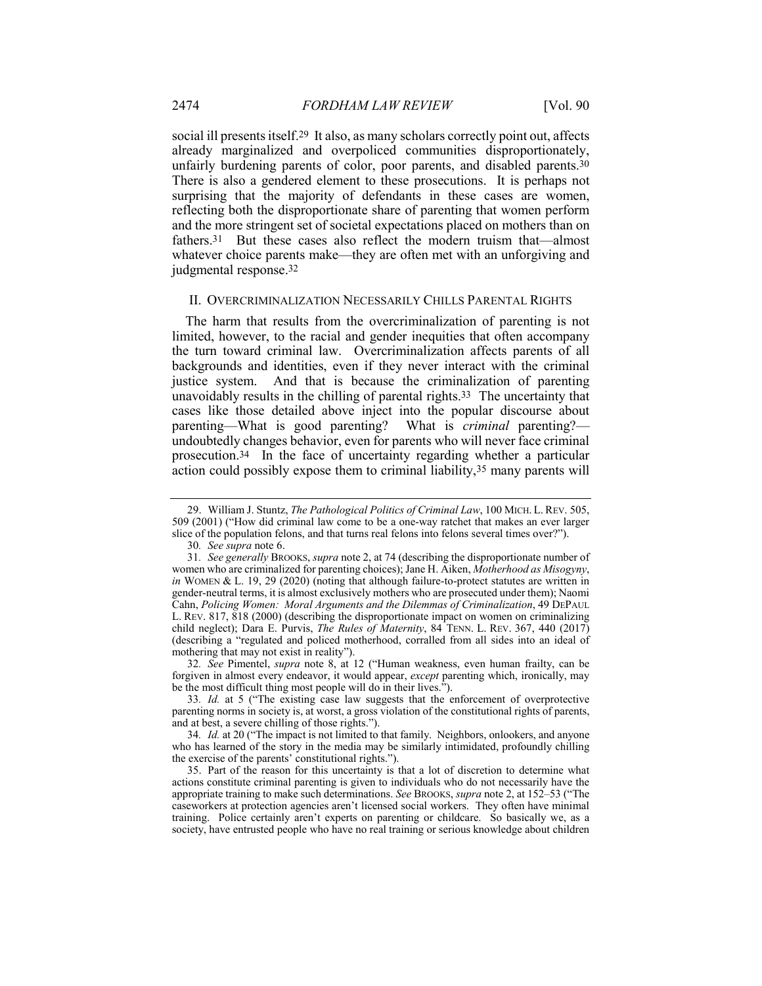social ill presents itself.29 It also, as many scholars correctly point out, affects already marginalized and overpoliced communities disproportionately, unfairly burdening parents of color, poor parents, and disabled parents.30 There is also a gendered element to these prosecutions. It is perhaps not surprising that the majority of defendants in these cases are women, reflecting both the disproportionate share of parenting that women perform and the more stringent set of societal expectations placed on mothers than on fathers.31 But these cases also reflect the modern truism that—almost whatever choice parents make—they are often met with an unforgiving and judgmental response.32

#### II. OVERCRIMINALIZATION NECESSARILY CHILLS PARENTAL RIGHTS

The harm that results from the overcriminalization of parenting is not limited, however, to the racial and gender inequities that often accompany the turn toward criminal law. Overcriminalization affects parents of all backgrounds and identities, even if they never interact with the criminal justice system. And that is because the criminalization of parenting unavoidably results in the chilling of parental rights.<sup>33</sup> The uncertainty that cases like those detailed above inject into the popular discourse about parenting—What is good parenting? What is *criminal* parenting? parenting—What is good parenting? undoubtedly changes behavior, even for parents who will never face criminal prosecution.34 In the face of uncertainty regarding whether a particular action could possibly expose them to criminal liability,35 many parents will

32*. See* Pimentel, *supra* note 8, at 12 ("Human weakness, even human frailty, can be forgiven in almost every endeavor, it would appear, *except* parenting which, ironically, may be the most difficult thing most people will do in their lives.").

<sup>29.</sup> William J. Stuntz, *The Pathological Politics of Criminal Law*, 100 MICH. L. REV. 505, 509 (2001) ("How did criminal law come to be a one-way ratchet that makes an ever larger slice of the population felons, and that turns real felons into felons several times over?").

<sup>30</sup>*. See supra* note 6.

<sup>31</sup>*. See generally* BROOKS, *supra* note 2, at 74 (describing the disproportionate number of women who are criminalized for parenting choices); Jane H. Aiken, *Motherhood as Misogyny*, *in* WOMEN & L. 19, 29 (2020) (noting that although failure-to-protect statutes are written in gender-neutral terms, it is almost exclusively mothers who are prosecuted under them); Naomi Cahn, *Policing Women: Moral Arguments and the Dilemmas of Criminalization*, 49 DEPAUL L. REV. 817, 818 (2000) (describing the disproportionate impact on women on criminalizing child neglect); Dara E. Purvis, *The Rules of Maternity*, 84 TENN. L. REV. 367, 440 (2017) (describing a "regulated and policed motherhood, corralled from all sides into an ideal of mothering that may not exist in reality").

<sup>33</sup>*. Id.* at 5 ("The existing case law suggests that the enforcement of overprotective parenting norms in society is, at worst, a gross violation of the constitutional rights of parents, and at best, a severe chilling of those rights.").

<sup>34</sup>*. Id.* at 20 ("The impact is not limited to that family. Neighbors, onlookers, and anyone who has learned of the story in the media may be similarly intimidated, profoundly chilling the exercise of the parents' constitutional rights.").

<sup>35.</sup> Part of the reason for this uncertainty is that a lot of discretion to determine what actions constitute criminal parenting is given to individuals who do not necessarily have the appropriate training to make such determinations. *See* BROOKS, *supra* note 2, at 152–53 ("The caseworkers at protection agencies aren't licensed social workers. They often have minimal training. Police certainly aren't experts on parenting or childcare. So basically we, as a society, have entrusted people who have no real training or serious knowledge about children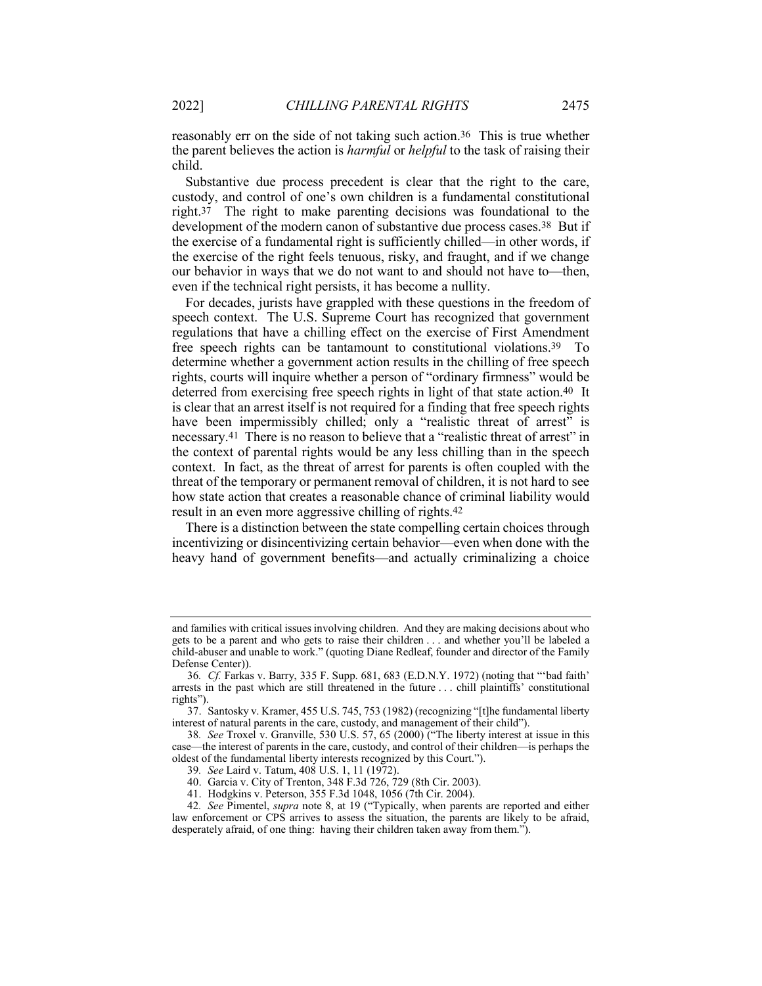reasonably err on the side of not taking such action.36 This is true whether the parent believes the action is *harmful* or *helpful* to the task of raising their child.

Substantive due process precedent is clear that the right to the care, custody, and control of one's own children is a fundamental constitutional right.37 The right to make parenting decisions was foundational to the development of the modern canon of substantive due process cases.38 But if the exercise of a fundamental right is sufficiently chilled—in other words, if the exercise of the right feels tenuous, risky, and fraught, and if we change our behavior in ways that we do not want to and should not have to—then, even if the technical right persists, it has become a nullity.

For decades, jurists have grappled with these questions in the freedom of speech context. The U.S. Supreme Court has recognized that government regulations that have a chilling effect on the exercise of First Amendment free speech rights can be tantamount to constitutional violations.39 To determine whether a government action results in the chilling of free speech rights, courts will inquire whether a person of "ordinary firmness" would be deterred from exercising free speech rights in light of that state action.<sup>40</sup> It is clear that an arrest itself is not required for a finding that free speech rights have been impermissibly chilled; only a "realistic threat of arrest" is necessary.41 There is no reason to believe that a "realistic threat of arrest" in the context of parental rights would be any less chilling than in the speech context. In fact, as the threat of arrest for parents is often coupled with the threat of the temporary or permanent removal of children, it is not hard to see how state action that creates a reasonable chance of criminal liability would result in an even more aggressive chilling of rights.42

There is a distinction between the state compelling certain choices through incentivizing or disincentivizing certain behavior—even when done with the heavy hand of government benefits—and actually criminalizing a choice

and families with critical issues involving children. And they are making decisions about who gets to be a parent and who gets to raise their children . . . and whether you'll be labeled a child-abuser and unable to work." (quoting Diane Redleaf, founder and director of the Family Defense Center)).

<sup>36</sup>*. Cf.* Farkas v. Barry, 335 F. Supp. 681, 683 (E.D.N.Y. 1972) (noting that "'bad faith' arrests in the past which are still threatened in the future . . . chill plaintiffs' constitutional rights").

<sup>37.</sup> Santosky v. Kramer, 455 U.S. 745, 753 (1982) (recognizing "[t]he fundamental liberty interest of natural parents in the care, custody, and management of their child").

<sup>38</sup>*. See* Troxel v. Granville, 530 U.S. 57, 65 (2000) ("The liberty interest at issue in this case—the interest of parents in the care, custody, and control of their children—is perhaps the oldest of the fundamental liberty interests recognized by this Court.").

<sup>39</sup>*. See* Laird v. Tatum, 408 U.S. 1, 11 (1972).

<sup>40.</sup> Garcia v. City of Trenton, 348 F.3d 726, 729 (8th Cir. 2003).

<sup>41.</sup> Hodgkins v. Peterson, 355 F.3d 1048, 1056 (7th Cir. 2004).

<sup>42</sup>*. See* Pimentel, *supra* note 8, at 19 ("Typically, when parents are reported and either law enforcement or CPS arrives to assess the situation, the parents are likely to be afraid, desperately afraid, of one thing: having their children taken away from them.").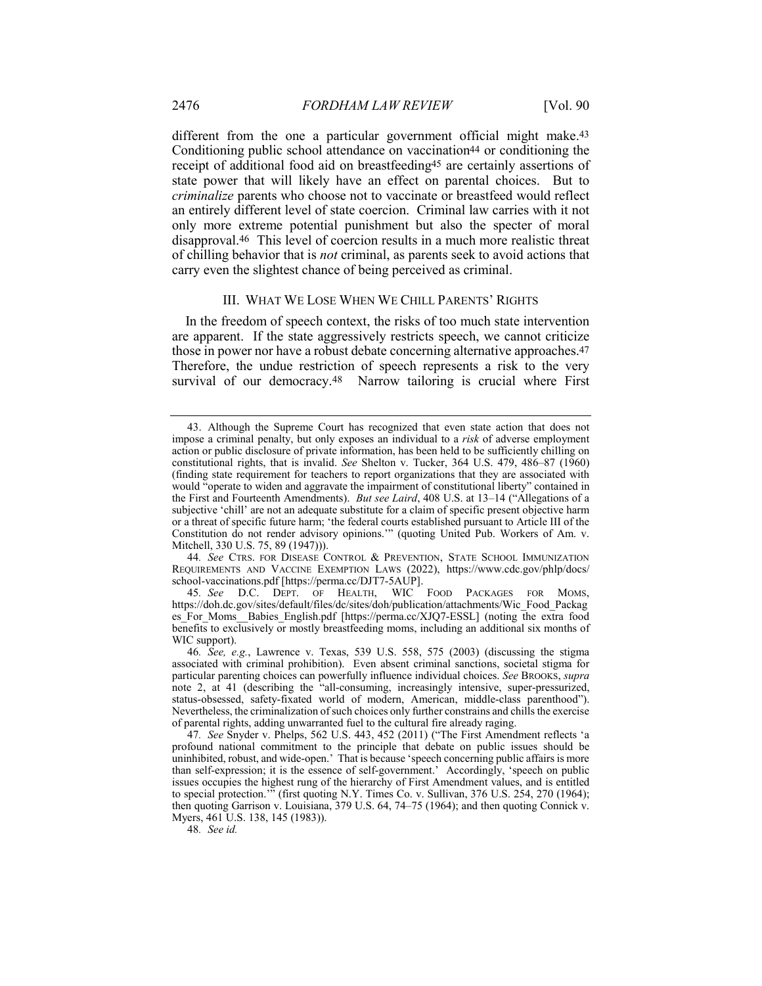different from the one a particular government official might make.<sup>43</sup> Conditioning public school attendance on vaccination<sup>44</sup> or conditioning the receipt of additional food aid on breastfeeding45 are certainly assertions of state power that will likely have an effect on parental choices. But to *criminalize* parents who choose not to vaccinate or breastfeed would reflect an entirely different level of state coercion. Criminal law carries with it not only more extreme potential punishment but also the specter of moral disapproval.46 This level of coercion results in a much more realistic threat of chilling behavior that is *not* criminal, as parents seek to avoid actions that carry even the slightest chance of being perceived as criminal.

#### III. WHAT WE LOSE WHEN WE CHILL PARENTS' RIGHTS

In the freedom of speech context, the risks of too much state intervention are apparent. If the state aggressively restricts speech, we cannot criticize those in power nor have a robust debate concerning alternative approaches.47 Therefore, the undue restriction of speech represents a risk to the very survival of our democracy.<sup>48</sup> Narrow tailoring is crucial where First

44*. See* CTRS. FOR DISEASE CONTROL & PREVENTION, STATE SCHOOL IMMUNIZATION REQUIREMENTS AND VACCINE EXEMPTION LAWS (2022), https://www.cdc.gov/phlp/docs/ school-vaccinations.pdf [https://perma.cc/DJT7-5AUP].

45*. See* D.C. DEPT. OF HEALTH, WIC FOOD PACKAGES FOR MOMS, https://doh.dc.gov/sites/default/files/dc/sites/doh/publication/attachments/Wic\_Food\_Packag es For Moms\_Babies\_English.pdf [https://perma.cc/XJQ7-ESSL] (noting the extra food benefits to exclusively or mostly breastfeeding moms, including an additional six months of WIC support).

48*. See id.*

<sup>43.</sup> Although the Supreme Court has recognized that even state action that does not impose a criminal penalty, but only exposes an individual to a *risk* of adverse employment action or public disclosure of private information, has been held to be sufficiently chilling on constitutional rights, that is invalid. *See* Shelton v. Tucker, 364 U.S. 479, 486–87 (1960) (finding state requirement for teachers to report organizations that they are associated with would "operate to widen and aggravate the impairment of constitutional liberty" contained in the First and Fourteenth Amendments). *But see Laird*, 408 U.S. at 13–14 ("Allegations of a subjective 'chill' are not an adequate substitute for a claim of specific present objective harm or a threat of specific future harm; 'the federal courts established pursuant to Article III of the Constitution do not render advisory opinions.'" (quoting United Pub. Workers of Am. v. Mitchell, 330 U.S. 75, 89 (1947))).

<sup>46</sup>*. See, e.g.*, Lawrence v. Texas, 539 U.S. 558, 575 (2003) (discussing the stigma associated with criminal prohibition). Even absent criminal sanctions, societal stigma for particular parenting choices can powerfully influence individual choices. *See* BROOKS, *supra* note 2, at 41 (describing the "all-consuming, increasingly intensive, super-pressurized, status-obsessed, safety-fixated world of modern, American, middle-class parenthood"). Nevertheless, the criminalization of such choices only further constrains and chills the exercise of parental rights, adding unwarranted fuel to the cultural fire already raging.

<sup>47</sup>*. See* Snyder v. Phelps, 562 U.S. 443, 452 (2011) ("The First Amendment reflects 'a profound national commitment to the principle that debate on public issues should be uninhibited, robust, and wide-open.' That is because 'speech concerning public affairs is more than self-expression; it is the essence of self-government.' Accordingly, 'speech on public issues occupies the highest rung of the hierarchy of First Amendment values, and is entitled to special protection." (first quoting N.Y. Times Co. v. Sullivan, 376 U.S. 254, 270 (1964); then quoting Garrison v. Louisiana, 379 U.S. 64, 74–75 (1964); and then quoting Connick v. Myers, 461 U.S. 138, 145 (1983)).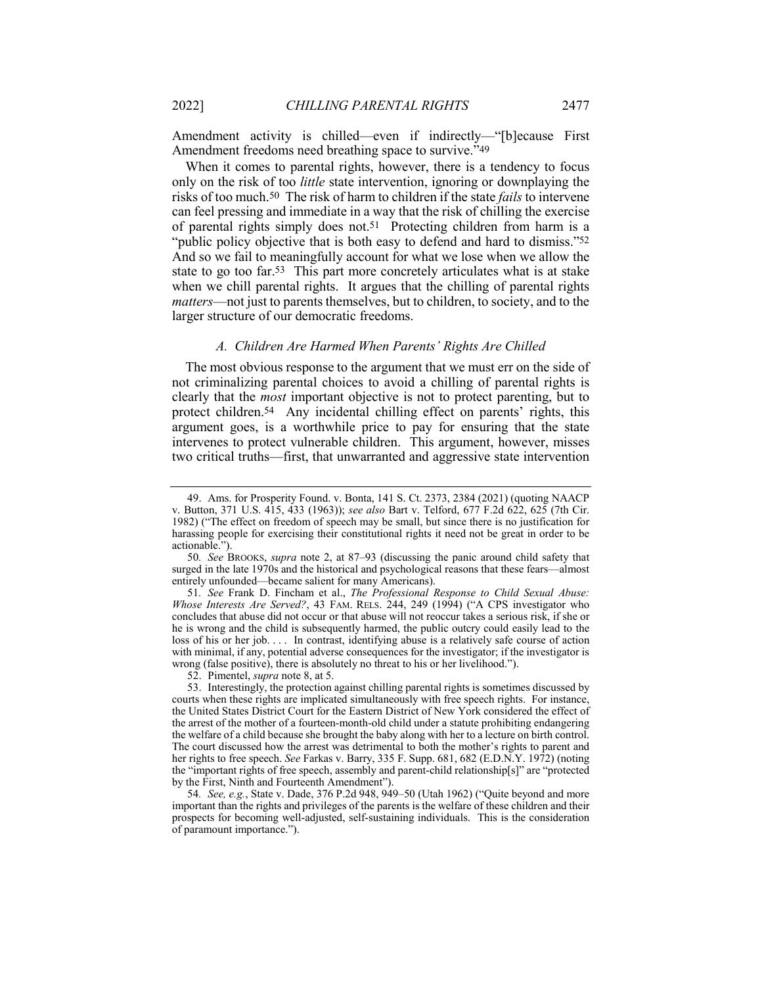Amendment activity is chilled—even if indirectly—"[b]ecause First Amendment freedoms need breathing space to survive."49

When it comes to parental rights, however, there is a tendency to focus only on the risk of too *little* state intervention, ignoring or downplaying the risks of too much.50 The risk of harm to children if the state *fails* to intervene can feel pressing and immediate in a way that the risk of chilling the exercise of parental rights simply does not.51 Protecting children from harm is a "public policy objective that is both easy to defend and hard to dismiss."52 And so we fail to meaningfully account for what we lose when we allow the state to go too far.53 This part more concretely articulates what is at stake when we chill parental rights. It argues that the chilling of parental rights *matters*—not just to parents themselves, but to children, to society, and to the larger structure of our democratic freedoms.

# *A. Children Are Harmed When Parents' Rights Are Chilled*

The most obvious response to the argument that we must err on the side of not criminalizing parental choices to avoid a chilling of parental rights is clearly that the *most* important objective is not to protect parenting, but to protect children.54 Any incidental chilling effect on parents' rights, this argument goes, is a worthwhile price to pay for ensuring that the state intervenes to protect vulnerable children. This argument, however, misses two critical truths—first, that unwarranted and aggressive state intervention

<sup>49.</sup> Ams. for Prosperity Found. v. Bonta, 141 S. Ct. 2373, 2384 (2021) (quoting NAACP v. Button, 371 U.S. 415, 433 (1963)); *see also* Bart v. Telford, 677 F.2d 622, 625 (7th Cir. 1982) ("The effect on freedom of speech may be small, but since there is no justification for harassing people for exercising their constitutional rights it need not be great in order to be actionable.").

<sup>50</sup>*. See* BROOKS, *supra* note 2, at 87–93 (discussing the panic around child safety that surged in the late 1970s and the historical and psychological reasons that these fears—almost entirely unfounded—became salient for many Americans).

<sup>51</sup>*. See* Frank D. Fincham et al., *The Professional Response to Child Sexual Abuse: Whose Interests Are Served?*, 43 FAM. RELS. 244, 249 (1994) ("A CPS investigator who concludes that abuse did not occur or that abuse will not reoccur takes a serious risk, if she or he is wrong and the child is subsequently harmed, the public outcry could easily lead to the loss of his or her job. ... In contrast, identifying abuse is a relatively safe course of action with minimal, if any, potential adverse consequences for the investigator; if the investigator is wrong (false positive), there is absolutely no threat to his or her livelihood.").

<sup>52.</sup> Pimentel, *supra* note 8, at 5.

<sup>53.</sup> Interestingly, the protection against chilling parental rights is sometimes discussed by courts when these rights are implicated simultaneously with free speech rights. For instance, the United States District Court for the Eastern District of New York considered the effect of the arrest of the mother of a fourteen-month-old child under a statute prohibiting endangering the welfare of a child because she brought the baby along with her to a lecture on birth control. The court discussed how the arrest was detrimental to both the mother's rights to parent and her rights to free speech. *See* Farkas v. Barry, 335 F. Supp. 681, 682 (E.D.N.Y. 1972) (noting the "important rights of free speech, assembly and parent-child relationship[s]" are "protected by the First, Ninth and Fourteenth Amendment").

<sup>54</sup>*. See, e.g.*, State v. Dade, 376 P.2d 948, 949–50 (Utah 1962) ("Quite beyond and more important than the rights and privileges of the parents is the welfare of these children and their prospects for becoming well-adjusted, self-sustaining individuals. This is the consideration of paramount importance.").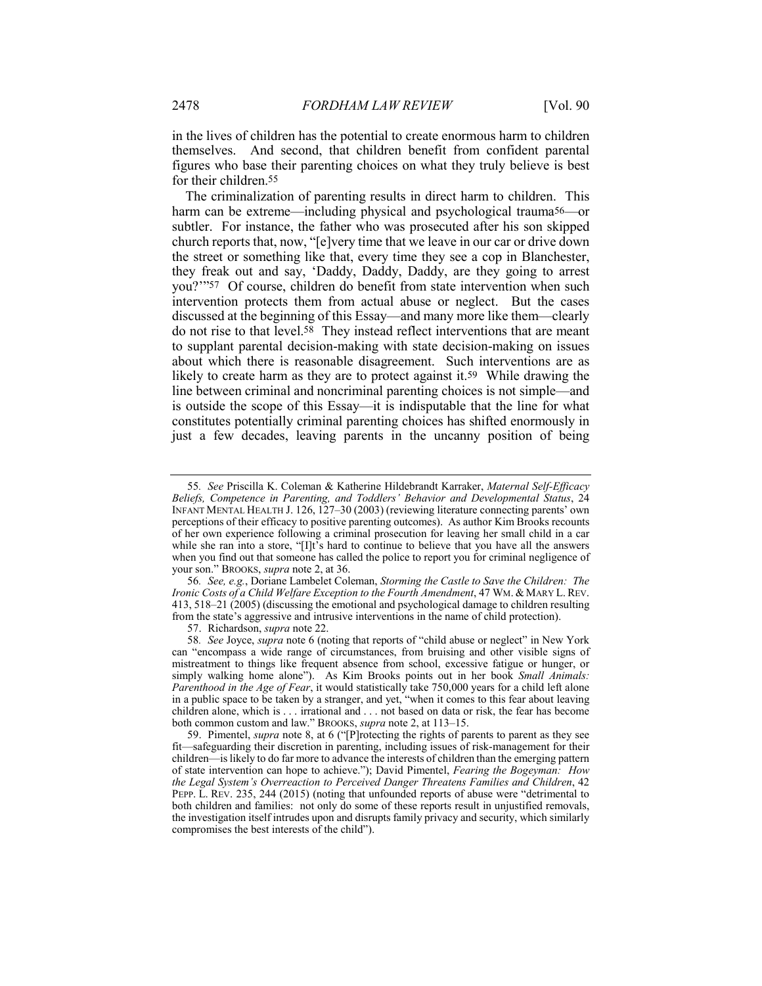in the lives of children has the potential to create enormous harm to children themselves. And second, that children benefit from confident parental figures who base their parenting choices on what they truly believe is best for their children.55

The criminalization of parenting results in direct harm to children. This harm can be extreme—including physical and psychological trauma<sup>56</sup>—or subtler. For instance, the father who was prosecuted after his son skipped church reports that, now, "[e]very time that we leave in our car or drive down the street or something like that, every time they see a cop in Blanchester, they freak out and say, 'Daddy, Daddy, Daddy, are they going to arrest you?'"57 Of course, children do benefit from state intervention when such intervention protects them from actual abuse or neglect. But the cases discussed at the beginning of this Essay—and many more like them—clearly do not rise to that level.58 They instead reflect interventions that are meant to supplant parental decision-making with state decision-making on issues about which there is reasonable disagreement. Such interventions are as likely to create harm as they are to protect against it.59 While drawing the line between criminal and noncriminal parenting choices is not simple—and is outside the scope of this Essay—it is indisputable that the line for what constitutes potentially criminal parenting choices has shifted enormously in just a few decades, leaving parents in the uncanny position of being

57. Richardson, *supra* note 22.

<sup>55</sup>*. See* Priscilla K. Coleman & Katherine Hildebrandt Karraker, *Maternal Self-Efficacy Beliefs, Competence in Parenting, and Toddlers' Behavior and Developmental Status*, 24 INFANT MENTAL HEALTH J. 126, 127–30 (2003) (reviewing literature connecting parents' own perceptions of their efficacy to positive parenting outcomes). As author Kim Brooks recounts of her own experience following a criminal prosecution for leaving her small child in a car while she ran into a store, "[I]t's hard to continue to believe that you have all the answers when you find out that someone has called the police to report you for criminal negligence of your son." BROOKS, *supra* note 2, at 36.

<sup>56</sup>*. See, e.g.*, Doriane Lambelet Coleman, *Storming the Castle to Save the Children: The Ironic Costs of a Child Welfare Exception to the Fourth Amendment*, 47 WM. & MARY L. REV. 413, 518–21 (2005) (discussing the emotional and psychological damage to children resulting from the state's aggressive and intrusive interventions in the name of child protection).

<sup>58</sup>*. See* Joyce, *supra* note 6 (noting that reports of "child abuse or neglect" in New York can "encompass a wide range of circumstances, from bruising and other visible signs of mistreatment to things like frequent absence from school, excessive fatigue or hunger, or simply walking home alone"). As Kim Brooks points out in her book *Small Animals: Parenthood in the Age of Fear*, it would statistically take 750,000 years for a child left alone in a public space to be taken by a stranger, and yet, "when it comes to this fear about leaving children alone, which is . . . irrational and . . . not based on data or risk, the fear has become both common custom and law." BROOKS, *supra* note 2, at 113–15.

<sup>59.</sup> Pimentel, *supra* note 8, at 6 ("[P]rotecting the rights of parents to parent as they see fit—safeguarding their discretion in parenting, including issues of risk-management for their children—is likely to do far more to advance the interests of children than the emerging pattern of state intervention can hope to achieve."); David Pimentel, *Fearing the Bogeyman: How the Legal System's Overreaction to Perceived Danger Threatens Families and Children*, 42 PEPP. L. REV. 235, 244 (2015) (noting that unfounded reports of abuse were "detrimental to both children and families: not only do some of these reports result in unjustified removals, the investigation itself intrudes upon and disrupts family privacy and security, which similarly compromises the best interests of the child").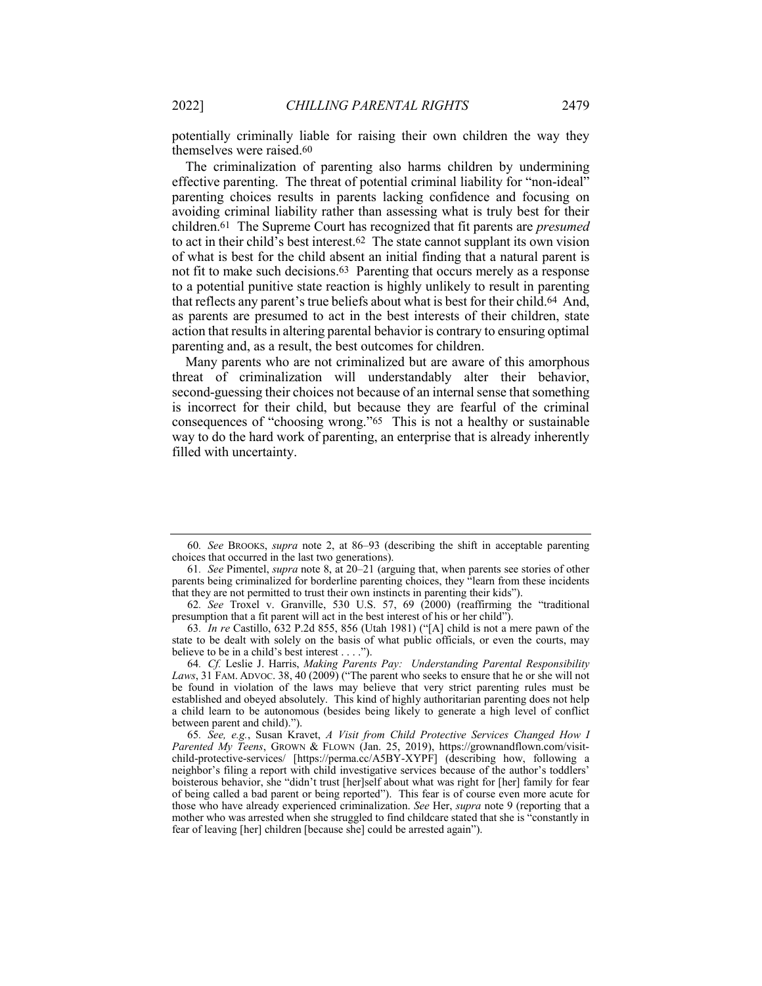potentially criminally liable for raising their own children the way they themselves were raised.60

The criminalization of parenting also harms children by undermining effective parenting. The threat of potential criminal liability for "non-ideal" parenting choices results in parents lacking confidence and focusing on avoiding criminal liability rather than assessing what is truly best for their children.61 The Supreme Court has recognized that fit parents are *presumed* to act in their child's best interest.62 The state cannot supplant its own vision of what is best for the child absent an initial finding that a natural parent is not fit to make such decisions.63 Parenting that occurs merely as a response to a potential punitive state reaction is highly unlikely to result in parenting that reflects any parent's true beliefs about what is best for their child.64 And, as parents are presumed to act in the best interests of their children, state action that results in altering parental behavior is contrary to ensuring optimal parenting and, as a result, the best outcomes for children.

Many parents who are not criminalized but are aware of this amorphous threat of criminalization will understandably alter their behavior, second-guessing their choices not because of an internal sense that something is incorrect for their child, but because they are fearful of the criminal consequences of "choosing wrong."65 This is not a healthy or sustainable way to do the hard work of parenting, an enterprise that is already inherently filled with uncertainty.

<sup>60</sup>*. See* BROOKS, *supra* note 2, at 86–93 (describing the shift in acceptable parenting choices that occurred in the last two generations).

<sup>61</sup>*. See* Pimentel, *supra* note 8, at 20–21 (arguing that, when parents see stories of other parents being criminalized for borderline parenting choices, they "learn from these incidents that they are not permitted to trust their own instincts in parenting their kids").

<sup>62</sup>*. See* Troxel v. Granville, 530 U.S. 57, 69 (2000) (reaffirming the "traditional presumption that a fit parent will act in the best interest of his or her child").

<sup>63</sup>*. In re* Castillo, 632 P.2d 855, 856 (Utah 1981) ("[A] child is not a mere pawn of the state to be dealt with solely on the basis of what public officials, or even the courts, may believe to be in a child's best interest . . . .").

<sup>64</sup>*. Cf.* Leslie J. Harris, *Making Parents Pay: Understanding Parental Responsibility Laws*, 31 FAM. ADVOC. 38, 40 (2009) ("The parent who seeks to ensure that he or she will not be found in violation of the laws may believe that very strict parenting rules must be established and obeyed absolutely. This kind of highly authoritarian parenting does not help a child learn to be autonomous (besides being likely to generate a high level of conflict between parent and child).").

<sup>65</sup>*. See, e.g.*, Susan Kravet, *A Visit from Child Protective Services Changed How I Parented My Teens*, GROWN & FLOWN (Jan. 25, 2019), https://grownandflown.com/visitchild-protective-services/ [https://perma.cc/A5BY-XYPF] (describing how, following a neighbor's filing a report with child investigative services because of the author's toddlers' boisterous behavior, she "didn't trust [her]self about what was right for [her] family for fear of being called a bad parent or being reported"). This fear is of course even more acute for those who have already experienced criminalization. *See* Her, *supra* note 9 (reporting that a mother who was arrested when she struggled to find childcare stated that she is "constantly in fear of leaving [her] children [because she] could be arrested again").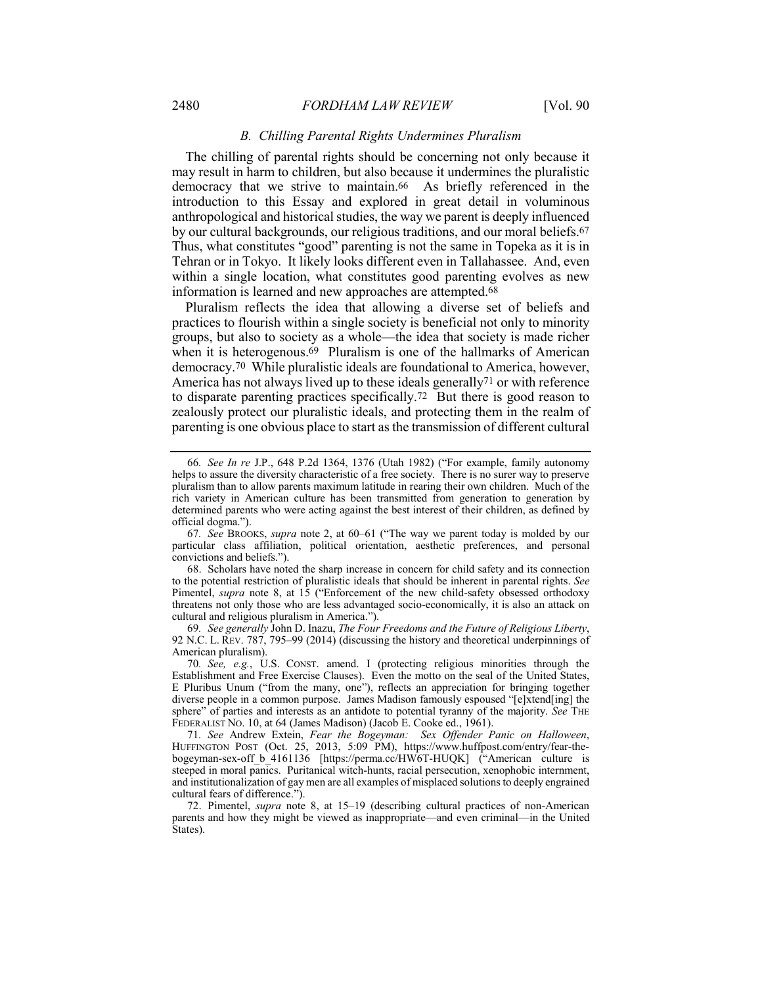## *B. Chilling Parental Rights Undermines Pluralism*

The chilling of parental rights should be concerning not only because it may result in harm to children, but also because it undermines the pluralistic democracy that we strive to maintain.66 As briefly referenced in the introduction to this Essay and explored in great detail in voluminous anthropological and historical studies, the way we parent is deeply influenced by our cultural backgrounds, our religious traditions, and our moral beliefs.67 Thus, what constitutes "good" parenting is not the same in Topeka as it is in Tehran or in Tokyo. It likely looks different even in Tallahassee. And, even within a single location, what constitutes good parenting evolves as new information is learned and new approaches are attempted.68

Pluralism reflects the idea that allowing a diverse set of beliefs and practices to flourish within a single society is beneficial not only to minority groups, but also to society as a whole—the idea that society is made richer when it is heterogenous.<sup>69</sup> Pluralism is one of the hallmarks of American democracy.70 While pluralistic ideals are foundational to America, however, America has not always lived up to these ideals generally71 or with reference to disparate parenting practices specifically.72 But there is good reason to zealously protect our pluralistic ideals, and protecting them in the realm of parenting is one obvious place to start as the transmission of different cultural

68. Scholars have noted the sharp increase in concern for child safety and its connection to the potential restriction of pluralistic ideals that should be inherent in parental rights. *See* Pimentel, *supra* note 8, at 15 ("Enforcement of the new child-safety obsessed orthodoxy threatens not only those who are less advantaged socio-economically, it is also an attack on cultural and religious pluralism in America.").

69*. See generally* John D. Inazu, *The Four Freedoms and the Future of Religious Liberty*, 92 N.C. L. REV. 787, 795–99 (2014) (discussing the history and theoretical underpinnings of American pluralism).

71*. See* Andrew Extein, *Fear the Bogeyman: Sex Offender Panic on Halloween*, HUFFINGTON POST (Oct. 25, 2013, 5:09 PM), https://www.huffpost.com/entry/fear-thebogeyman-sex-off\_b\_4161136 [https://perma.cc/HW6T-HUQK] ("American culture is steeped in moral panics. Puritanical witch-hunts, racial persecution, xenophobic internment, and institutionalization of gay men are all examples of misplaced solutions to deeply engrained cultural fears of difference.").

<sup>66</sup>*. See In re* J.P., 648 P.2d 1364, 1376 (Utah 1982) ("For example, family autonomy helps to assure the diversity characteristic of a free society. There is no surer way to preserve pluralism than to allow parents maximum latitude in rearing their own children. Much of the rich variety in American culture has been transmitted from generation to generation by determined parents who were acting against the best interest of their children, as defined by official dogma.").

<sup>67</sup>*. See* BROOKS, *supra* note 2, at 60–61 ("The way we parent today is molded by our particular class affiliation, political orientation, aesthetic preferences, and personal convictions and beliefs.").

<sup>70</sup>*. See, e.g.*, U.S. CONST. amend. I (protecting religious minorities through the Establishment and Free Exercise Clauses). Even the motto on the seal of the United States, E Pluribus Unum ("from the many, one"), reflects an appreciation for bringing together diverse people in a common purpose. James Madison famously espoused "[e]xtend[ing] the sphere" of parties and interests as an antidote to potential tyranny of the majority. *See* THE FEDERALIST NO. 10, at 64 (James Madison) (Jacob E. Cooke ed., 1961).

<sup>72.</sup> Pimentel, *supra* note 8, at 15–19 (describing cultural practices of non-American parents and how they might be viewed as inappropriate—and even criminal—in the United States).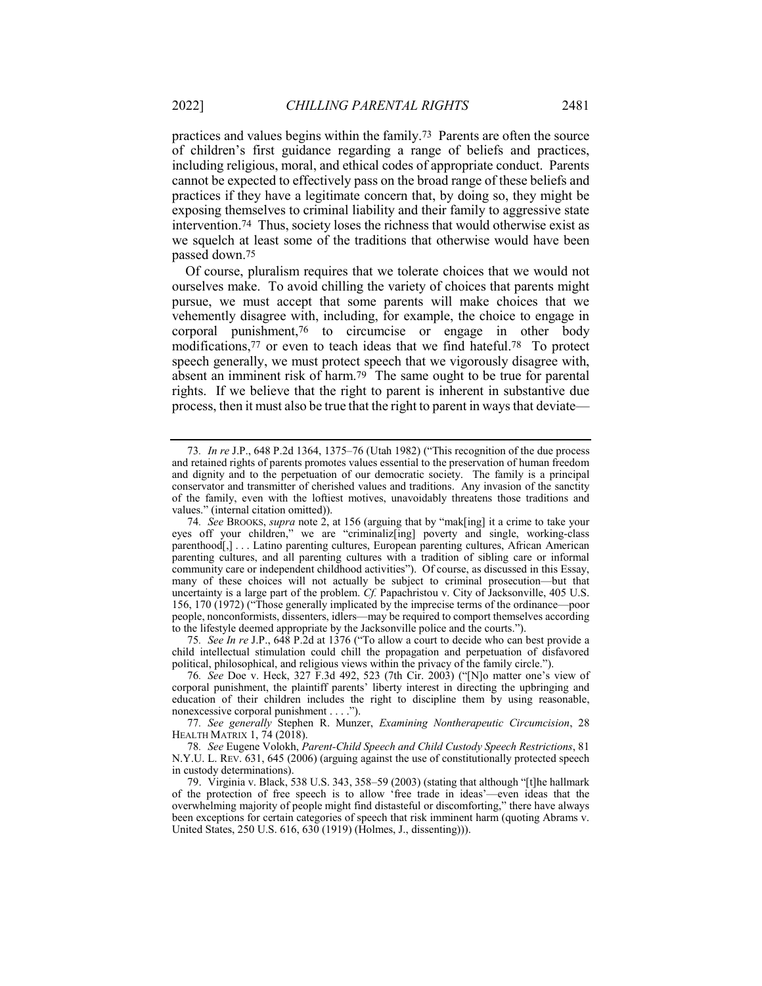practices and values begins within the family.73 Parents are often the source of children's first guidance regarding a range of beliefs and practices, including religious, moral, and ethical codes of appropriate conduct. Parents cannot be expected to effectively pass on the broad range of these beliefs and practices if they have a legitimate concern that, by doing so, they might be

exposing themselves to criminal liability and their family to aggressive state intervention.74 Thus, society loses the richness that would otherwise exist as we squelch at least some of the traditions that otherwise would have been passed down.75

Of course, pluralism requires that we tolerate choices that we would not ourselves make. To avoid chilling the variety of choices that parents might pursue, we must accept that some parents will make choices that we vehemently disagree with, including, for example, the choice to engage in corporal punishment,76 to circumcise or engage in other body modifications,<sup>77</sup> or even to teach ideas that we find hateful.<sup>78</sup> To protect speech generally, we must protect speech that we vigorously disagree with, absent an imminent risk of harm.79 The same ought to be true for parental rights. If we believe that the right to parent is inherent in substantive due process, then it must also be true that the right to parent in ways that deviate—

75*. See In re* J.P., 648 P.2d at 1376 ("To allow a court to decide who can best provide a child intellectual stimulation could chill the propagation and perpetuation of disfavored political, philosophical, and religious views within the privacy of the family circle.").

76*. See* Doe v. Heck, 327 F.3d 492, 523 (7th Cir. 2003) ("[N]o matter one's view of corporal punishment, the plaintiff parents' liberty interest in directing the upbringing and education of their children includes the right to discipline them by using reasonable, nonexcessive corporal punishment . . . .").

77*. See generally* Stephen R. Munzer, *Examining Nontherapeutic Circumcision*, 28 HEALTH MATRIX 1, 74 (2018).

78*. See* Eugene Volokh, *Parent-Child Speech and Child Custody Speech Restrictions*, 81 N.Y.U. L. REV. 631, 645 (2006) (arguing against the use of constitutionally protected speech in custody determinations).

79. Virginia v. Black, 538 U.S. 343, 358–59 (2003) (stating that although "[t]he hallmark of the protection of free speech is to allow 'free trade in ideas'—even ideas that the overwhelming majority of people might find distasteful or discomforting," there have always been exceptions for certain categories of speech that risk imminent harm (quoting Abrams v. United States, 250 U.S. 616, 630 (1919) (Holmes, J., dissenting))).

<sup>73</sup>*. In re* J.P., 648 P.2d 1364, 1375–76 (Utah 1982) ("This recognition of the due process and retained rights of parents promotes values essential to the preservation of human freedom and dignity and to the perpetuation of our democratic society. The family is a principal conservator and transmitter of cherished values and traditions. Any invasion of the sanctity of the family, even with the loftiest motives, unavoidably threatens those traditions and values." (internal citation omitted)).

<sup>74</sup>*. See* BROOKS, *supra* note 2, at 156 (arguing that by "mak[ing] it a crime to take your eyes off your children," we are "criminaliz[ing] poverty and single, working-class parenthood[,] . . . Latino parenting cultures, European parenting cultures, African American parenting cultures, and all parenting cultures with a tradition of sibling care or informal community care or independent childhood activities"). Of course, as discussed in this Essay, many of these choices will not actually be subject to criminal prosecution—but that uncertainty is a large part of the problem. *Cf.* Papachristou v. City of Jacksonville, 405 U.S. 156, 170 (1972) ("Those generally implicated by the imprecise terms of the ordinance—poor people, nonconformists, dissenters, idlers—may be required to comport themselves according to the lifestyle deemed appropriate by the Jacksonville police and the courts.").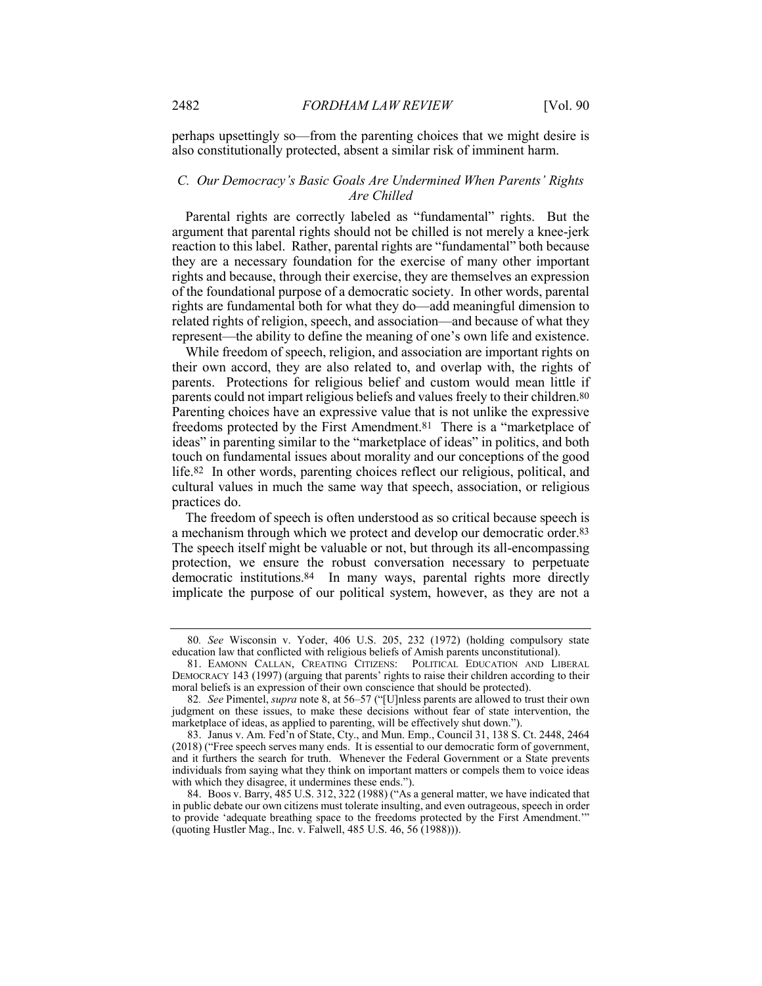perhaps upsettingly so—from the parenting choices that we might desire is also constitutionally protected, absent a similar risk of imminent harm.

# *C. Our Democracy's Basic Goals Are Undermined When Parents' Rights Are Chilled*

Parental rights are correctly labeled as "fundamental" rights. But the argument that parental rights should not be chilled is not merely a knee-jerk reaction to this label. Rather, parental rights are "fundamental" both because they are a necessary foundation for the exercise of many other important rights and because, through their exercise, they are themselves an expression of the foundational purpose of a democratic society. In other words, parental rights are fundamental both for what they do—add meaningful dimension to related rights of religion, speech, and association—and because of what they represent—the ability to define the meaning of one's own life and existence.

While freedom of speech, religion, and association are important rights on their own accord, they are also related to, and overlap with, the rights of parents. Protections for religious belief and custom would mean little if parents could not impart religious beliefs and values freely to their children.80 Parenting choices have an expressive value that is not unlike the expressive freedoms protected by the First Amendment.81 There is a "marketplace of ideas" in parenting similar to the "marketplace of ideas" in politics, and both touch on fundamental issues about morality and our conceptions of the good life.82 In other words, parenting choices reflect our religious, political, and cultural values in much the same way that speech, association, or religious practices do.

The freedom of speech is often understood as so critical because speech is a mechanism through which we protect and develop our democratic order.83 The speech itself might be valuable or not, but through its all-encompassing protection, we ensure the robust conversation necessary to perpetuate democratic institutions.84 In many ways, parental rights more directly implicate the purpose of our political system, however, as they are not a

<sup>80</sup>*. See* Wisconsin v. Yoder, 406 U.S. 205, 232 (1972) (holding compulsory state education law that conflicted with religious beliefs of Amish parents unconstitutional).

<sup>81.</sup> EAMONN CALLAN, CREATING CITIZENS: POLITICAL EDUCATION AND LIBERAL DEMOCRACY 143 (1997) (arguing that parents' rights to raise their children according to their moral beliefs is an expression of their own conscience that should be protected).

<sup>82</sup>*. See* Pimentel, *supra* note 8, at 56–57 ("[U]nless parents are allowed to trust their own judgment on these issues, to make these decisions without fear of state intervention, the marketplace of ideas, as applied to parenting, will be effectively shut down.").

<sup>83.</sup> Janus v. Am. Fed'n of State, Cty., and Mun. Emp., Council 31, 138 S. Ct. 2448, 2464 (2018) ("Free speech serves many ends. It is essential to our democratic form of government, and it furthers the search for truth. Whenever the Federal Government or a State prevents individuals from saying what they think on important matters or compels them to voice ideas with which they disagree, it undermines these ends.").

<sup>84.</sup> Boos v. Barry, 485 U.S. 312, 322 (1988) ("As a general matter, we have indicated that in public debate our own citizens must tolerate insulting, and even outrageous, speech in order to provide 'adequate breathing space to the freedoms protected by the First Amendment.'" (quoting Hustler Mag., Inc. v. Falwell, 485 U.S. 46, 56 (1988))).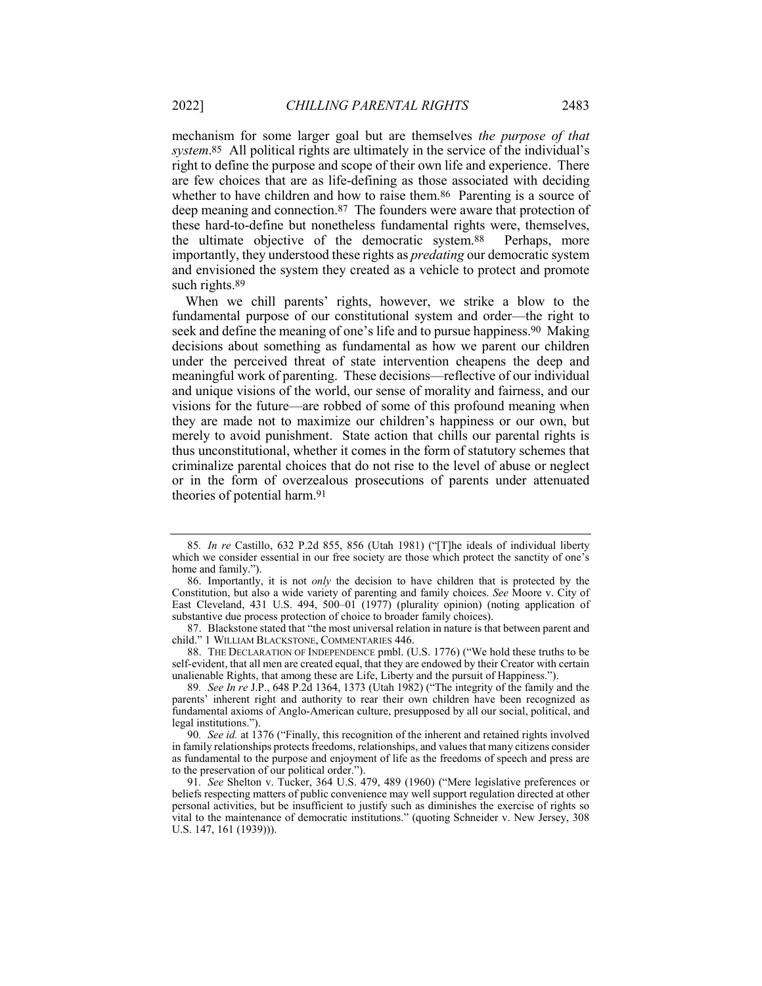mechanism for some larger goal but are themselves *the purpose of that system*.85 All political rights are ultimately in the service of the individual's right to define the purpose and scope of their own life and experience. There are few choices that are as life-defining as those associated with deciding whether to have children and how to raise them.<sup>86</sup> Parenting is a source of deep meaning and connection.87 The founders were aware that protection of these hard-to-define but nonetheless fundamental rights were, themselves, the ultimate objective of the democratic system.88 Perhaps, more importantly, they understood these rights as *predating* our democratic system and envisioned the system they created as a vehicle to protect and promote such rights.<sup>89</sup>

When we chill parents' rights, however, we strike a blow to the fundamental purpose of our constitutional system and order—the right to seek and define the meaning of one's life and to pursue happiness.<sup>90</sup> Making decisions about something as fundamental as how we parent our children under the perceived threat of state intervention cheapens the deep and meaningful work of parenting. These decisions—reflective of our individual and unique visions of the world, our sense of morality and fairness, and our visions for the future—are robbed of some of this profound meaning when they are made not to maximize our children's happiness or our own, but merely to avoid punishment. State action that chills our parental rights is thus unconstitutional, whether it comes in the form of statutory schemes that criminalize parental choices that do not rise to the level of abuse or neglect or in the form of overzealous prosecutions of parents under attenuated theories of potential harm.91

87. Blackstone stated that "the most universal relation in nature is that between parent and child." 1 WILLIAM BLACKSTONE, COMMENTARIES 446.

88. THE DECLARATION OF INDEPENDENCE pmbl. (U.S. 1776) ("We hold these truths to be self-evident, that all men are created equal, that they are endowed by their Creator with certain unalienable Rights, that among these are Life, Liberty and the pursuit of Happiness.").

89*. See In re* J.P., 648 P.2d 1364, 1373 (Utah 1982) ("The integrity of the family and the parents' inherent right and authority to rear their own children have been recognized as fundamental axioms of Anglo-American culture, presupposed by all our social, political, and legal institutions.").

90*. See id.* at 1376 ("Finally, this recognition of the inherent and retained rights involved in family relationships protects freedoms, relationships, and values that many citizens consider as fundamental to the purpose and enjoyment of life as the freedoms of speech and press are to the preservation of our political order.").

91*. See* Shelton v. Tucker, 364 U.S. 479, 489 (1960) ("Mere legislative preferences or beliefs respecting matters of public convenience may well support regulation directed at other personal activities, but be insufficient to justify such as diminishes the exercise of rights so vital to the maintenance of democratic institutions." (quoting Schneider v. New Jersey, 308 U.S. 147, 161 (1939))).

<sup>85</sup>*. In re* Castillo, 632 P.2d 855, 856 (Utah 1981) ("[T]he ideals of individual liberty which we consider essential in our free society are those which protect the sanctity of one's home and family.").

<sup>86.</sup> Importantly, it is not *only* the decision to have children that is protected by the Constitution, but also a wide variety of parenting and family choices. *See* Moore v. City of East Cleveland, 431 U.S. 494, 500–01 (1977) (plurality opinion) (noting application of substantive due process protection of choice to broader family choices).